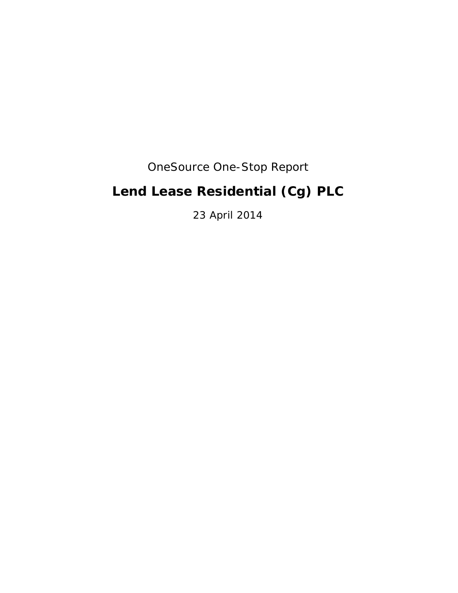## OneSource One-Stop Report

# **Lend Lease Residential (Cg) PLC**

23 April 2014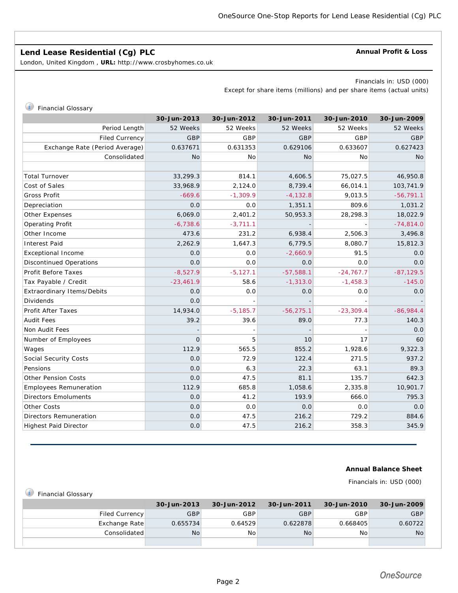## **Lend Lease Residential (Cg) PLC**

London, United Kingdom , **URL:** http://www.crosbyhomes.co.uk

#### **Annual Profit & Loss**

Financials in: USD (000)

Except for share items (millions) and per share items (actual units)

## *i* Financial Glossary

|                                   | 30-Jun-2013 | 30-Jun-2012 | 30-Jun-2011  | 30-Jun-2010 | 30-Jun-2009 |
|-----------------------------------|-------------|-------------|--------------|-------------|-------------|
| Period Length                     | 52 Weeks    | 52 Weeks    | 52 Weeks     | 52 Weeks    | 52 Weeks    |
| <b>Filed Currency</b>             | GBP         | GBP         | GBP          | GBP         | GBP         |
| Exchange Rate (Period Average)    | 0.637671    | 0.631353    | 0.629106     | 0.633607    | 0.627423    |
| Consolidated                      | <b>No</b>   | No          | <b>No</b>    | No          | <b>No</b>   |
|                                   |             |             |              |             |             |
| <b>Total Turnover</b>             | 33,299.3    | 814.1       | 4,606.5      | 75,027.5    | 46,950.8    |
| Cost of Sales                     | 33,968.9    | 2,124.0     | 8,739.4      | 66,014.1    | 103,741.9   |
| Gross Profit                      | $-669.6$    | $-1,309.9$  | $-4,132.8$   | 9,013.5     | $-56,791.1$ |
| Depreciation                      | 0.0         | 0.0         | 1,351.1      | 809.6       | 1,031.2     |
| Other Expenses                    | 6,069.0     | 2,401.2     | 50,953.3     | 28,298.3    | 18,022.9    |
| Operating Profit                  | $-6,738.6$  | $-3,711.1$  |              |             | $-74,814.0$ |
| Other Income                      | 473.6       | 231.2       | 6,938.4      | 2,506.3     | 3,496.8     |
| <b>Interest Paid</b>              | 2,262.9     | 1,647.3     | 6,779.5      | 8,080.7     | 15,812.3    |
| <b>Exceptional Income</b>         | 0.0         | 0.0         | $-2,660.9$   | 91.5        | 0.0         |
| <b>Discontinued Operations</b>    | 0.0         | 0.0         | 0.0          | 0.0         | 0.0         |
| Profit Before Taxes               | $-8,527.9$  | $-5,127.1$  | $-57,588.1$  | $-24,767.7$ | $-87,129.5$ |
| Tax Payable / Credit              | $-23,461.9$ | 58.6        | $-1,313.0$   | $-1,458.3$  | $-145.0$    |
| <b>Extraordinary Items/Debits</b> | 0.0         | 0.0         | 0.0          | 0.0         | 0.0         |
| Dividends                         | 0.0         |             |              |             |             |
| <b>Profit After Taxes</b>         | 14,934.0    | $-5,185.7$  | $-56, 275.1$ | $-23,309.4$ | $-86,984.4$ |
| <b>Audit Fees</b>                 | 39.2        | 39.6        | 89.0         | 77.3        | 140.3       |
| Non Audit Fees                    |             |             |              |             | 0.0         |
| Number of Employees               | $\Omega$    | 5           | 10           | 17          | 60          |
| Wages                             | 112.9       | 565.5       | 855.2        | 1,928.6     | 9,322.3     |
| Social Security Costs             | 0.0         | 72.9        | 122.4        | 271.5       | 937.2       |
| Pensions                          | 0.0         | 6.3         | 22.3         | 63.1        | 89.3        |
| <b>Other Pension Costs</b>        | 0.0         | 47.5        | 81.1         | 135.7       | 642.3       |
| <b>Employees Remuneration</b>     | 112.9       | 685.8       | 1,058.6      | 2,335.8     | 10,901.7    |
| <b>Directors Emoluments</b>       | 0.0         | 41.2        | 193.9        | 666.0       | 795.3       |
| Other Costs                       | 0.0         | 0.0         | 0.0          | 0.0         | 0.0         |
| <b>Directors Remuneration</b>     | 0.0         | 47.5        | 216.2        | 729.2       | 884.6       |
| <b>Highest Paid Director</b>      | 0.0         | 47.5        | 216.2        | 358.3       | 345.9       |

### **Annual Balance Sheet**

Financials in: USD (000)

| <b>Financial Glossary</b> |              |             |             |                |             |             |
|---------------------------|--------------|-------------|-------------|----------------|-------------|-------------|
|                           |              | 30-Jun-2013 | 30-Jun-2012 | 30-Jun-2011    | 30-Jun-2010 | 30-Jun-2009 |
| Filed Currency            |              | <b>GBP</b>  | GBP         | <b>GBP</b>     | GBP         | GBP         |
| Exchange Rate             |              | 0.655734    | 0.64529     | 0.622878       | 0.668405    | 0.60722     |
|                           | Consolidated | No          | <b>No</b>   | N <sub>o</sub> | No.         | <b>No</b>   |
|                           |              |             |             |                |             |             |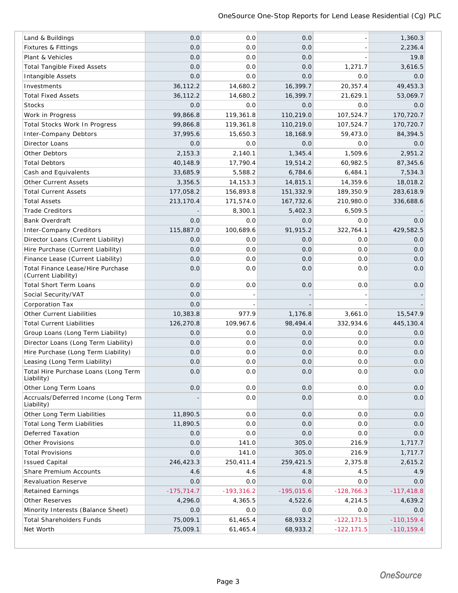| Land & Buildings                                   | 0.0          | 0.0          | 0.0          |               | 1,360.3       |
|----------------------------------------------------|--------------|--------------|--------------|---------------|---------------|
| Fixtures & Fittings                                | 0.0          | 0.0          | 0.0          |               | 2,236.4       |
| Plant & Vehicles                                   | 0.0          | 0.0          | 0.0          |               | 19.8          |
| <b>Total Tangible Fixed Assets</b>                 | 0.0          | 0.0          | 0.0          | 1,271.7       | 3,616.5       |
| Intangible Assets                                  | 0.0          | 0.0          | 0.0          | 0.0           | 0.0           |
| Investments                                        | 36,112.2     | 14,680.2     | 16,399.7     | 20,357.4      | 49,453.3      |
| <b>Total Fixed Assets</b>                          | 36,112.2     | 14,680.2     | 16,399.7     | 21,629.1      | 53,069.7      |
| <b>Stocks</b>                                      | 0.0          | 0.0          | 0.0          | 0.0           | 0.0           |
| Work in Progress                                   | 99,866.8     | 119,361.8    | 110,219.0    | 107,524.7     | 170,720.7     |
| Total Stocks Work In Progress                      | 99,866.8     | 119,361.8    | 110,219.0    | 107,524.7     | 170,720.7     |
| <b>Inter-Company Debtors</b>                       | 37,995.6     | 15,650.3     | 18,168.9     | 59,473.0      | 84,394.5      |
| Director Loans                                     | 0.0          | 0.0          | 0.0          | 0.0           | 0.0           |
| Other Debtors                                      | 2,153.3      | 2,140.1      | 1,345.4      | 1,509.6       | 2,951.2       |
| <b>Total Debtors</b>                               | 40,148.9     | 17,790.4     | 19,514.2     | 60,982.5      | 87,345.6      |
| Cash and Equivalents                               | 33,685.9     | 5,588.2      | 6,784.6      | 6,484.1       | 7,534.3       |
| <b>Other Current Assets</b>                        | 3,356.5      | 14, 153.3    | 14,815.1     | 14,359.6      | 18,018.2      |
| <b>Total Current Assets</b>                        | 177,058.2    | 156,893.8    | 151,332.9    | 189,350.9     | 283,618.9     |
| <b>Total Assets</b>                                | 213,170.4    | 171,574.0    | 167,732.6    | 210,980.0     | 336,688.6     |
| <b>Trade Creditors</b>                             |              | 8,300.1      | 5,402.3      | 6,509.5       |               |
| <b>Bank Overdraft</b>                              | 0.0          | 0.0          | 0.0          | 0.0           | 0.0           |
| <b>Inter-Company Creditors</b>                     | 115,887.0    | 100,689.6    | 91,915.2     | 322,764.1     | 429,582.5     |
| Director Loans (Current Liability)                 | 0.0          | 0.0          | 0.0          | 0.0           | 0.0           |
| Hire Purchase (Current Liability)                  | 0.0          | 0.0          | 0.0          | 0.0           | 0.0           |
| Finance Lease (Current Liability)                  | 0.0          | 0.0          | 0.0          | 0.0           | 0.0           |
| Total Finance Lease/Hire Purchase                  | 0.0          | 0.0          | 0.0          | 0.0           | 0.0           |
| (Current Liability)                                |              |              |              |               |               |
| <b>Total Short Term Loans</b>                      | 0.0          | 0.0          | 0.0          | 0.0           | 0.0           |
| Social Security/VAT                                | 0.0          |              |              |               |               |
| Corporation Tax                                    | 0.0          |              |              |               |               |
| Other Current Liabilities                          | 10,383.8     | 977.9        | 1,176.8      | 3,661.0       | 15,547.9      |
| <b>Total Current Liabilities</b>                   | 126,270.8    | 109,967.6    | 98,494.4     | 332,934.6     | 445,130.4     |
| Group Loans (Long Term Liability)                  | 0.0          | 0.0          | 0.0          | 0.0           | 0.0           |
| Director Loans (Long Term Liability)               | 0.0          | 0.0          | 0.0          | 0.0           | 0.0           |
| Hire Purchase (Long Term Liability)                | 0.0          | 0.0          | 0.0          | 0.0           | 0.0           |
| Leasing (Long Term Liability)                      | 0.0          | 0.0          | 0.0          | 0.0           | 0.0           |
| Total Hire Purchase Loans (Long Term<br>Liability) | 0.0          | 0.0          | 0.0          | 0.0           | 0.0           |
| Other Long Term Loans                              | 0.0          | 0.0          | 0.0          | 0.0           | 0.0           |
| Accruals/Deferred Income (Long Term<br>Liability)  |              | 0.0          | 0.0          | 0.0           | 0.0           |
| Other Long Term Liabilities                        | 11,890.5     | 0.0          | 0.0          | 0.0           | 0.0           |
| <b>Total Long Term Liabilities</b>                 | 11,890.5     | 0.0          | 0.0          | 0.0           | 0.0           |
| Deferred Taxation                                  | 0.0          | 0.0          | 0.0          | 0.0           | 0.0           |
| <b>Other Provisions</b>                            | 0.0          | 141.0        | 305.0        | 216.9         | 1,717.7       |
| <b>Total Provisions</b>                            | 0.0          | 141.0        | 305.0        | 216.9         | 1,717.7       |
| <b>Issued Capital</b>                              | 246,423.3    | 250,411.4    | 259,421.5    | 2,375.8       | 2,615.2       |
| Share Premium Accounts                             | 4.6          | 4.6          | 4.8          | 4.5           | 4.9           |
| <b>Revaluation Reserve</b>                         | 0.0          | 0.0          | 0.0          | 0.0           | 0.0           |
| <b>Retained Earnings</b>                           | $-175,714.7$ | $-193,316.2$ | $-195,015.6$ | $-128,766.3$  | $-117,418.8$  |
| Other Reserves                                     | 4,296.0      | 4,365.5      | 4,522.6      | 4,214.5       | 4,639.2       |
| Minority Interests (Balance Sheet)                 | 0.0          | 0.0          | 0.0          | 0.0           | 0.0           |
| <b>Total Shareholders Funds</b>                    | 75,009.1     | 61,465.4     | 68,933.2     | $-122, 171.5$ | $-110, 159.4$ |
| Net Worth                                          | 75,009.1     | 61,465.4     | 68,933.2     | $-122, 171.5$ | $-110, 159.4$ |
|                                                    |              |              |              |               |               |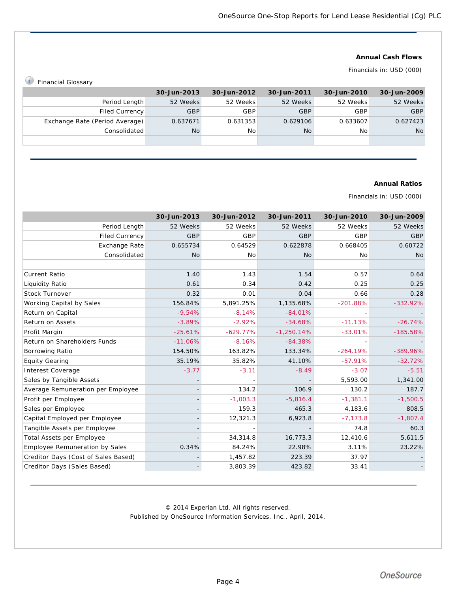### **Annual Cash Flows**

## Financials in: USD (000)

*i* Financial Glossary

|                                | 30-Jun-2013 | 30-Jun-2012 | 30-Jun-2011 | 30-Jun-2010 | 30-Jun-2009 |
|--------------------------------|-------------|-------------|-------------|-------------|-------------|
| Period Length                  | 52 Weeks    | 52 Weeks    | 52 Weeks    | 52 Weeks    | 52 Weeks    |
| Filed Currency                 | GBP         | <b>GBP</b>  | <b>GBP</b>  | GBP         | <b>GBP</b>  |
| Exchange Rate (Period Average) | 0.637671    | 0.631353    | 0.629106    | 0.633607    | 0.627423    |
| Consolidated                   | No          | <b>No</b>   | No          | No          | <b>No</b>   |
|                                |             |             |             |             |             |

### **Annual Ratios**

Financials in: USD (000)

|                                       | 30-Jun-2013 | 30-Jun-2012 | 30-Jun-2011  | 30-Jun-2010 | 30-Jun-2009 |
|---------------------------------------|-------------|-------------|--------------|-------------|-------------|
| Period Length                         | 52 Weeks    | 52 Weeks    | 52 Weeks     | 52 Weeks    | 52 Weeks    |
| <b>Filed Currency</b>                 | GBP         | GBP         | GBP          | GBP         | GBP         |
| Exchange Rate                         | 0.655734    | 0.64529     | 0.622878     | 0.668405    | 0.60722     |
| Consolidated                          | <b>No</b>   | <b>No</b>   | <b>No</b>    | No          | <b>No</b>   |
|                                       |             |             |              |             |             |
| <b>Current Ratio</b>                  | 1.40        | 1.43        | 1.54         | 0.57        | 0.64        |
| Liquidity Ratio                       | 0.61        | 0.34        | 0.42         | 0.25        | 0.25        |
| Stock Turnover                        | 0.32        | 0.01        | 0.04         | 0.66        | 0.28        |
| Working Capital by Sales              | 156.84%     | 5,891.25%   | 1,135.68%    | $-201.88%$  | $-332.92\%$ |
| Return on Capital                     | $-9.54%$    | $-8.14%$    | $-84.01%$    |             |             |
| Return on Assets                      | $-3.89%$    | $-2.92%$    | $-34.68%$    | $-11.13%$   | $-26.74%$   |
| Profit Margin                         | $-25.61%$   | $-629.77%$  | $-1,250.14%$ | $-33.01%$   | $-185.58%$  |
| Return on Shareholders Funds          | $-11.06%$   | $-8.16%$    | $-84.38%$    |             |             |
| Borrowing Ratio                       | 154.50%     | 163.82%     | 133.34%      | $-264.19%$  | $-389.96%$  |
| <b>Equity Gearing</b>                 | 35.19%      | 35.82%      | 41.10%       | $-57.91%$   | $-32.72%$   |
| Interest Coverage                     | $-3.77$     | $-3.11$     | $-8.49$      | $-3.07$     | $-5.51$     |
| Sales by Tangible Assets              |             |             |              | 5,593.00    | 1,341.00    |
| Average Remuneration per Employee     |             | 134.2       | 106.9        | 130.2       | 187.7       |
| Profit per Employee                   |             | $-1,003.3$  | $-5,816.4$   | $-1,381.1$  | $-1,500.5$  |
| Sales per Employee                    |             | 159.3       | 465.3        | 4,183.6     | 808.5       |
| Capital Employed per Employee         |             | 12,321.3    | 6,923.8      | $-7, 173.8$ | $-1,807.4$  |
| Tangible Assets per Employee          |             |             |              | 74.8        | 60.3        |
| Total Assets per Employee             |             | 34,314.8    | 16,773.3     | 12,410.6    | 5,611.5     |
| <b>Employee Remuneration by Sales</b> | 0.34%       | 84.24%      | 22.98%       | 3.11%       | 23.22%      |
| Creditor Days (Cost of Sales Based)   |             | 1,457.82    | 223.39       | 37.97       |             |
| Creditor Days (Sales Based)           |             | 3,803.39    | 423.82       | 33.41       |             |

© 2014 Experian Ltd. All rights reserved. Published by OneSource Information Services, Inc., April, 2014.